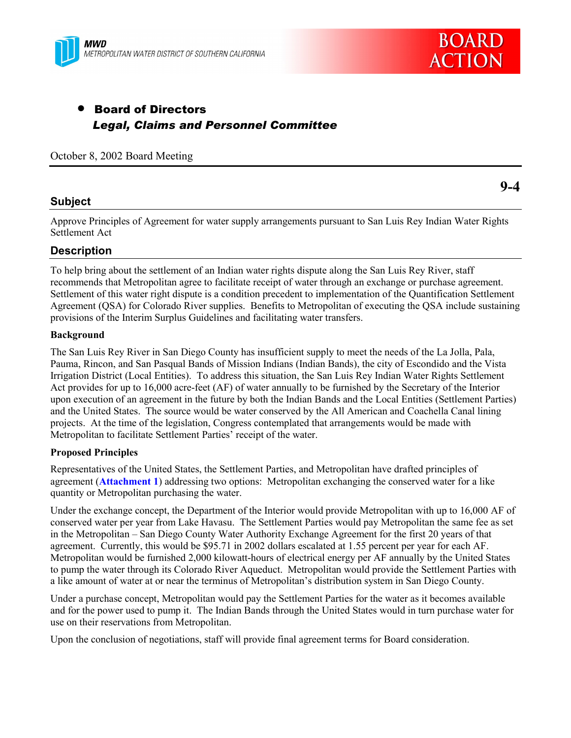



## • Board of Directors *Legal, Claims and Personnel Committee*

October 8, 2002 Board Meeting

### **Subject**

Approve Principles of Agreement for water supply arrangements pursuant to San Luis Rey Indian Water Rights Settlement Act

## **Description**

To help bring about the settlement of an Indian water rights dispute along the San Luis Rey River, staff recommends that Metropolitan agree to facilitate receipt of water through an exchange or purchase agreement. Settlement of this water right dispute is a condition precedent to implementation of the Quantification Settlement Agreement (QSA) for Colorado River supplies. Benefits to Metropolitan of executing the QSA include sustaining provisions of the Interim Surplus Guidelines and facilitating water transfers.

#### **Background**

The San Luis Rey River in San Diego County has insufficient supply to meet the needs of the La Jolla, Pala, Pauma, Rincon, and San Pasqual Bands of Mission Indians (Indian Bands), the city of Escondido and the Vista Irrigation District (Local Entities). To address this situation, the San Luis Rey Indian Water Rights Settlement Act provides for up to 16,000 acre-feet (AF) of water annually to be furnished by the Secretary of the Interior upon execution of an agreement in the future by both the Indian Bands and the Local Entities (Settlement Parties) and the United States. The source would be water conserved by the All American and Coachella Canal lining projects. At the time of the legislation, Congress contemplated that arrangements would be made with Metropolitan to facilitate Settlement Parties' receipt of the water.

#### **Proposed Principles**

Representatives of the United States, the Settlement Parties, and Metropolitan have drafted principles of agreement (**Attachment 1**) addressing two options: Metropolitan exchanging the conserved water for a like quantity or Metropolitan purchasing the water.

Under the exchange concept, the Department of the Interior would provide Metropolitan with up to 16,000 AF of conserved water per year from Lake Havasu. The Settlement Parties would pay Metropolitan the same fee as set in the Metropolitan – San Diego County Water Authority Exchange Agreement for the first 20 years of that agreement. Currently, this would be \$95.71 in 2002 dollars escalated at 1.55 percent per year for each AF. Metropolitan would be furnished 2,000 kilowatt-hours of electrical energy per AF annually by the United States to pump the water through its Colorado River Aqueduct. Metropolitan would provide the Settlement Parties with a like amount of water at or near the terminus of Metropolitan's distribution system in San Diego County.

Under a purchase concept, Metropolitan would pay the Settlement Parties for the water as it becomes available and for the power used to pump it. The Indian Bands through the United States would in turn purchase water for use on their reservations from Metropolitan.

Upon the conclusion of negotiations, staff will provide final agreement terms for Board consideration.

**9-4**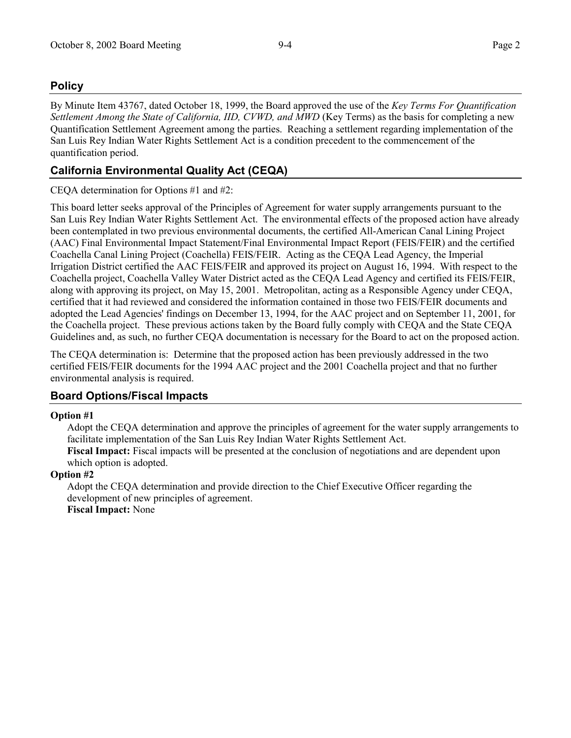## **Policy**

By Minute Item 43767, dated October 18, 1999, the Board approved the use of the *Key Terms For Quantification Settlement Among the State of California, IID, CVWD, and MWD* (Key Terms) as the basis for completing a new Quantification Settlement Agreement among the parties. Reaching a settlement regarding implementation of the San Luis Rey Indian Water Rights Settlement Act is a condition precedent to the commencement of the quantification period.

## **California Environmental Quality Act (CEQA)**

#### CEQA determination for Options #1 and #2:

This board letter seeks approval of the Principles of Agreement for water supply arrangements pursuant to the San Luis Rey Indian Water Rights Settlement Act. The environmental effects of the proposed action have already been contemplated in two previous environmental documents, the certified All-American Canal Lining Project (AAC) Final Environmental Impact Statement/Final Environmental Impact Report (FEIS/FEIR) and the certified Coachella Canal Lining Project (Coachella) FEIS/FEIR. Acting as the CEQA Lead Agency, the Imperial Irrigation District certified the AAC FEIS/FEIR and approved its project on August 16, 1994. With respect to the Coachella project, Coachella Valley Water District acted as the CEQA Lead Agency and certified its FEIS/FEIR, along with approving its project, on May 15, 2001. Metropolitan, acting as a Responsible Agency under CEQA, certified that it had reviewed and considered the information contained in those two FEIS/FEIR documents and adopted the Lead Agencies' findings on December 13, 1994, for the AAC project and on September 11, 2001, for the Coachella project. These previous actions taken by the Board fully comply with CEQA and the State CEQA Guidelines and, as such, no further CEQA documentation is necessary for the Board to act on the proposed action.

The CEQA determination is: Determine that the proposed action has been previously addressed in the two certified FEIS/FEIR documents for the 1994 AAC project and the 2001 Coachella project and that no further environmental analysis is required.

## **Board Options/Fiscal Impacts**

#### **Option #1**

Adopt the CEQA determination and approve the principles of agreement for the water supply arrangements to facilitate implementation of the San Luis Rey Indian Water Rights Settlement Act.

**Fiscal Impact:** Fiscal impacts will be presented at the conclusion of negotiations and are dependent upon which option is adopted.

#### **Option #2**

Adopt the CEQA determination and provide direction to the Chief Executive Officer regarding the development of new principles of agreement.

**Fiscal Impact:** None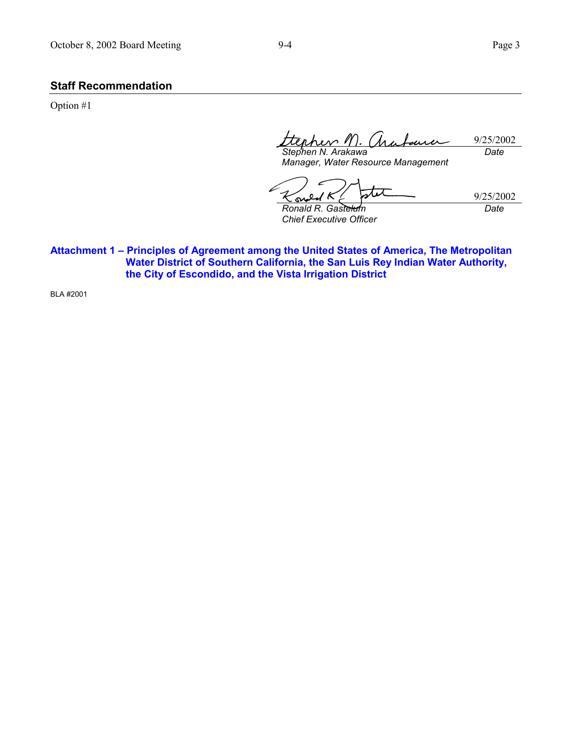#### **Staff Recommendation**

Option #1

9/25/2002 *Stephen N. Arakawa Date*

*Manager, Water Resource Management*

9/25/2002 sv *Ronald R. Gastelum Date*

*Chief Executive Officer*

Attachment 1 - Principles of Agreement among the United States of America, The Metropolitan **Water District of Southern California, the San Luis Rey Indian Water Authority, the City of Escondido, and the Vista Irrigation District**

BLA #2001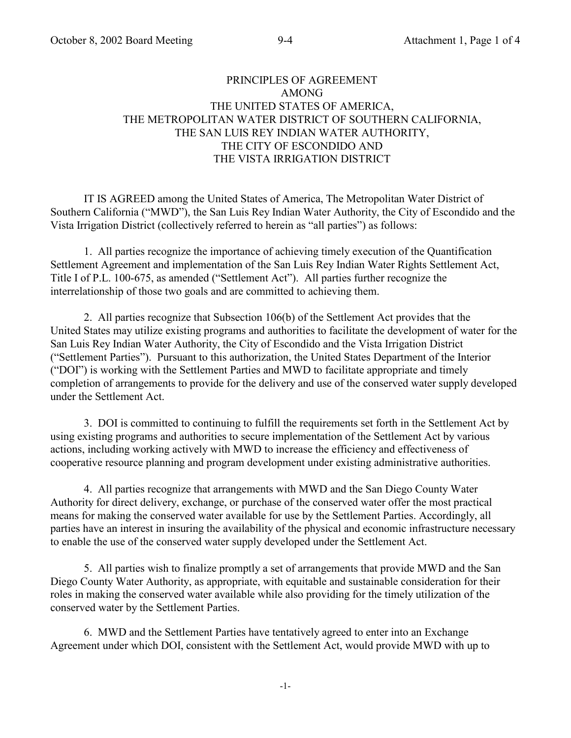## PRINCIPLES OF AGREEMENT AMONG THE UNITED STATES OF AMERICA, THE METROPOLITAN WATER DISTRICT OF SOUTHERN CALIFORNIA, THE SAN LUIS REY INDIAN WATER AUTHORITY, THE CITY OF ESCONDIDO AND THE VISTA IRRIGATION DISTRICT

IT IS AGREED among the United States of America, The Metropolitan Water District of Southern California ("MWD"), the San Luis Rey Indian Water Authority, the City of Escondido and the Vista Irrigation District (collectively referred to herein as "all parties") as follows:

1. All parties recognize the importance of achieving timely execution of the Quantification Settlement Agreement and implementation of the San Luis Rey Indian Water Rights Settlement Act, Title I of P.L. 100-675, as amended ("Settlement Act"). All parties further recognize the interrelationship of those two goals and are committed to achieving them.

2. All parties recognize that Subsection 106(b) of the Settlement Act provides that the United States may utilize existing programs and authorities to facilitate the development of water for the San Luis Rey Indian Water Authority, the City of Escondido and the Vista Irrigation District ("Settlement Parties"). Pursuant to this authorization, the United States Department of the Interior ("DOI") is working with the Settlement Parties and MWD to facilitate appropriate and timely completion of arrangements to provide for the delivery and use of the conserved water supply developed under the Settlement Act.

3. DOI is committed to continuing to fulfill the requirements set forth in the Settlement Act by using existing programs and authorities to secure implementation of the Settlement Act by various actions, including working actively with MWD to increase the efficiency and effectiveness of cooperative resource planning and program development under existing administrative authorities.

4. All parties recognize that arrangements with MWD and the San Diego County Water Authority for direct delivery, exchange, or purchase of the conserved water offer the most practical means for making the conserved water available for use by the Settlement Parties. Accordingly, all parties have an interest in insuring the availability of the physical and economic infrastructure necessary to enable the use of the conserved water supply developed under the Settlement Act.

5. All parties wish to finalize promptly a set of arrangements that provide MWD and the San Diego County Water Authority, as appropriate, with equitable and sustainable consideration for their roles in making the conserved water available while also providing for the timely utilization of the conserved water by the Settlement Parties.

6. MWD and the Settlement Parties have tentatively agreed to enter into an Exchange Agreement under which DOI, consistent with the Settlement Act, would provide MWD with up to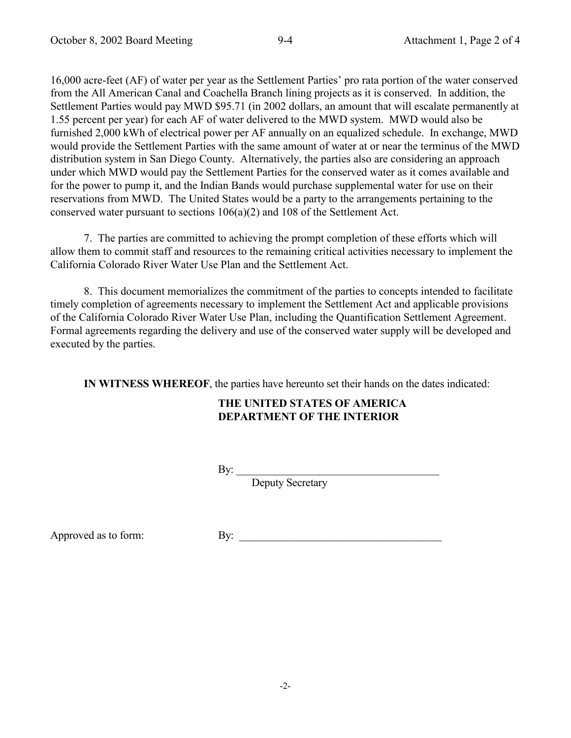16,000 acre-feet (AF) of water per year as the Settlement Parties' pro rata portion of the water conserved from the All American Canal and Coachella Branch lining projects as it is conserved. In addition, the Settlement Parties would pay MWD \$95.71 (in 2002 dollars, an amount that will escalate permanently at 1.55 percent per year) for each AF of water delivered to the MWD system. MWD would also be furnished 2,000 kWh of electrical power per AF annually on an equalized schedule. In exchange, MWD would provide the Settlement Parties with the same amount of water at or near the terminus of the MWD distribution system in San Diego County. Alternatively, the parties also are considering an approach under which MWD would pay the Settlement Parties for the conserved water as it comes available and for the power to pump it, and the Indian Bands would purchase supplemental water for use on their reservations from MWD. The United States would be a party to the arrangements pertaining to the conserved water pursuant to sections 106(a)(2) and 108 of the Settlement Act.

7. The parties are committed to achieving the prompt completion of these efforts which will allow them to commit staff and resources to the remaining critical activities necessary to implement the California Colorado River Water Use Plan and the Settlement Act.

8. This document memorializes the commitment of the parties to concepts intended to facilitate timely completion of agreements necessary to implement the Settlement Act and applicable provisions of the California Colorado River Water Use Plan, including the Quantification Settlement Agreement. Formal agreements regarding the delivery and use of the conserved water supply will be developed and executed by the parties.

**IN WITNESS WHEREOF**, the parties have hereunto set their hands on the dates indicated:

## **THE UNITED STATES OF AMERICA DEPARTMENT OF THE INTERIOR**

By: $\frac{1}{2}$ 

Deputy Secretary

Approved as to form: By: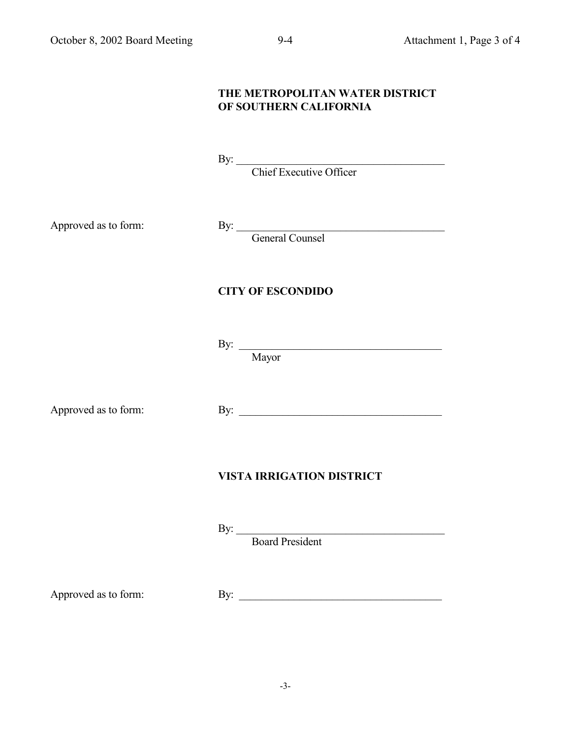# **THE METROPOLITAN WATER DISTRICT OF SOUTHERN CALIFORNIA** By: Chief Executive Officer

Approved as to form: By:

General Counsel

## **CITY OF ESCONDIDO**

 $\mathbf{By:}$ 

Mayor

Approved as to form: By: \_\_\_\_\_\_\_\_\_\_\_\_\_\_\_\_\_\_\_\_\_\_\_\_\_\_\_\_\_\_\_\_\_\_\_\_\_

## **VISTA IRRIGATION DISTRICT**

By:

Board President

Approved as to form: By: